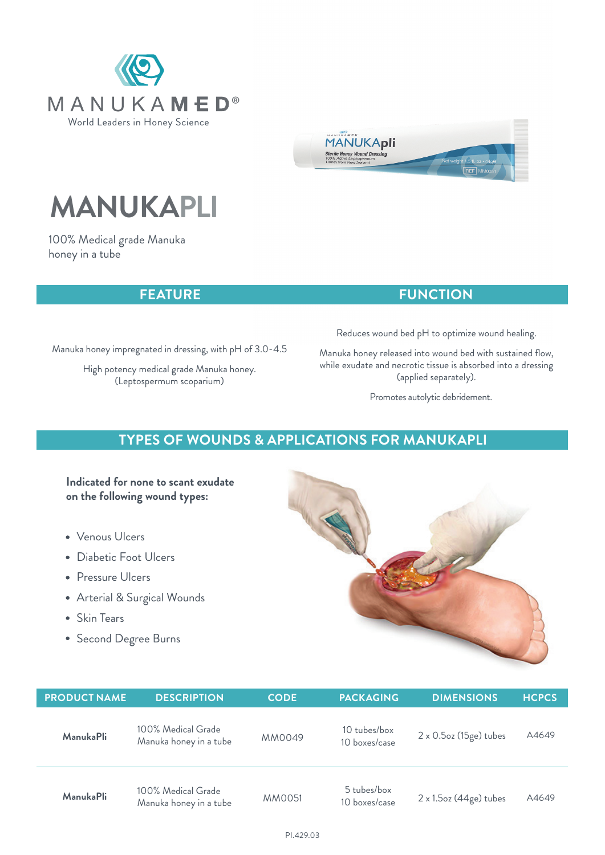



# **MANUKAPLI**

100% Medical grade Manuka honey in a tube

## **FEATURE**

## Manuka honey impregnated in dressing, with pH of 3.0-4.5

High potency medical grade Manuka honey. (Leptospermum scoparium)

Reduces wound bed pH to optimize wound healing.

**FUNCTION**

Manuka honey released into wound bed with sustained flow, while exudate and necrotic tissue is absorbed into a dressing (applied separately).

Promotes autolytic debridement.

# **TYPES OF WOUNDS & APPLICATIONS FOR MANUKAPLI**

## **Indicated for none to scant exudate on the following wound types:**

- Venous Ulcers
- Diabetic Foot Ulcers
- Pressure Ulcers
- Arterial & Surgical Wounds
- Skin Tears
- Second Degree Burns



| <b>PRODUCT NAME</b> | <b>DESCRIPTION</b>                           | <b>CODE</b>   | <b>PACKAGING</b>              | <b>DIMENSIONS</b>              | <b>HCPCS</b> |
|---------------------|----------------------------------------------|---------------|-------------------------------|--------------------------------|--------------|
| <b>ManukaPli</b>    | 100% Medical Grade<br>Manuka honey in a tube | MM0049        | 10 tubes/box<br>10 boxes/case | $2 \times 0.5$ oz (15ge) tubes | A4649        |
| ManukaPli           | 100% Medical Grade<br>Manuka honey in a tube | <b>MM0051</b> | 5 tubes/box<br>10 boxes/case  | $2 \times 1.5$ oz (44ge) tubes | A4649        |